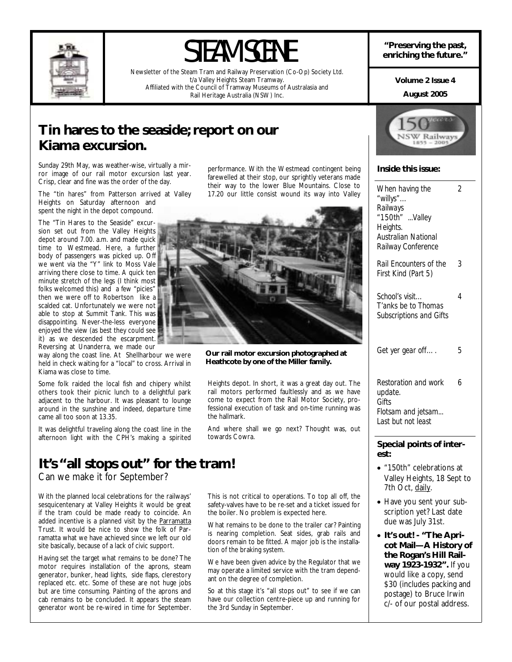

# STEAM SCENE **enriching the past,**  $\bullet$  **enriching the future."**

Newsletter of the Steam Tram and Railway Preservation (Co-Op) Society Ltd. t/a Valley Heights Steam Tramway. Affiliated with the Council of Tramway Museums of Australasia and Rail Heritage Australia (NSW) Inc.

**Volume 2 Issue 4** 

#### **August 2005**

### **Tin hares to the seaside; report on our Kiama excursion.**

Sunday 29th May, was weather-wise, virtually a mirror image of our rail motor excursion last year. Crisp, clear and fine was the order of the day.

The "tin hares" from Patterson arrived at Valley Heights on Saturday afternoon and spent the night in the depot compound.

The "Tin Hares to the Seaside" excursion set out from the Valley Heights depot around 7.00. a.m. and made quick time to Westmead. Here, a further body of passengers was picked up. Off we went via the "Y" link to Moss Vale arriving there close to time. A quick ten minute stretch of the legs (I think most folks welcomed this) and a few "picies" then we were off to Robertson like a scalded cat. Unfortunately we were not able to stop at Summit Tank. This was disappointing. Never-the-less everyone enjoyed the view (as best they could see it) as we descended the escarpment. Reversing at Unanderra, we made our

way along the coast line. At Shellharbour we were held in check waiting for a "local" to cross. Arrival in Kiama was close to time.

Some folk raided the local fish and chipery whilst others took their picnic lunch to a delightful park adjacent to the harbour. It was pleasant to lounge around in the sunshine and indeed, departure time came all too soon at 13.35.

It was delightful traveling along the coast line in the afternoon light with the CPH's making a spirited

### **It's "all stops out" for the tram!**

Can we make it for September?

With the planned local celebrations for the railways' sesquicentenary at Valley Heights it would be great if the tram could be made ready to coincide. An added incentive is a planned visit by the Parramatta Trust. It would be nice to show the folk of Parramatta what we have achieved since we left our old site basically, because of a lack of civic support.

Having set the target what remains to be done? The motor requires installation of the aprons, steam generator, bunker, head lights, side flaps, clerestory replaced etc. etc. Some of these are not huge jobs but are time consuming. Painting of the aprons and cab remains to be concluded. It appears the steam generator wont be re-wired in time for September. performance. With the Westmead contingent being farewelled at their stop, our sprightly veterans made their way to the lower Blue Mountains. Close to 17.20 our little consist wound its way into Valley



**Our rail motor excursion photographed at Heathcote by one of the Miller family.** 

Heights depot. In short, it was a great day out. The rail motors performed faultlessly and as we have come to expect from the Rail Motor Society, professional execution of task and on-time running was the hallmark.

And where shall we go next? Thought was, out towards Cowra.

This is not critical to operations. To top all off, the safety-valves have to be re-set and a ticket issued for the boiler. No problem is expected here.

What remains to be done to the trailer car? Painting is nearing completion. Seat sides, grab rails and doors remain to be fitted. A major job is the installation of the braking system.

We have been given advice by the Regulator that we may operate a limited service with the tram dependant on the degree of completion.

So at this stage it's "all stops out" to see if we can have our collection centre-piece up and running for the 3rd Sunday in September.



### **Inside this issue:**

| When having the<br>"willys"<br>Railways<br>"150th" Valley<br>Heights.<br><b>Australian National</b><br>Railway Conference | 2 |
|---------------------------------------------------------------------------------------------------------------------------|---|
| <b>Rail Encounters of the</b><br>First Kind (Part 5)                                                                      | 3 |
| School's visit<br>T'anks be to Thomas<br><b>Subscriptions and Gifts</b>                                                   | 4 |
| Get yer gear off                                                                                                          | 5 |
| Restoration and work<br>update.<br>Gifts<br>Flotsam and jetsam<br>Last but not least                                      | 6 |
| Special points of inter-<br>est:                                                                                          |   |
| • "150th" celebrations at<br>Valley Heights, 18 Sept to<br>7th Oct, daily.                                                |   |

- Have you sent your subscription yet? Last date due was July 31st.
- **It's out! "The Apricot Mail—A History of the Rogan's Hill Railway 1923-1932".** If you would like a copy, send \$30 (includes packing and postage) to Bruce Irwin c/- of our postal address.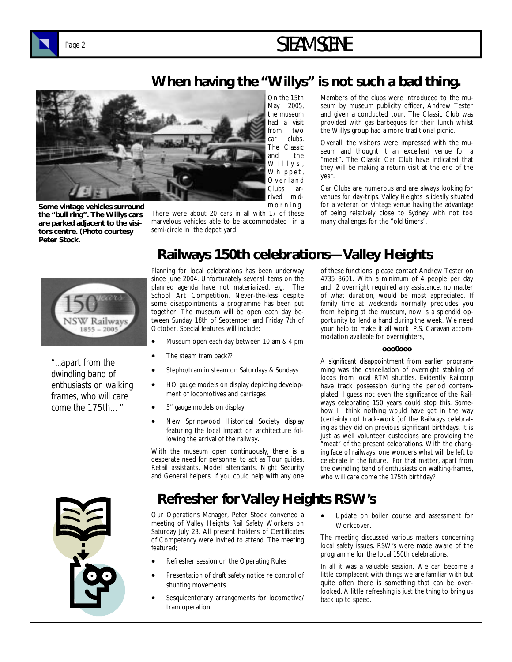# Page 2 **STEAM SCENE**

### **When having the "Willys" is not such a bad thing.**



**Some vintage vehicles surround the "bull ring". The Willys cars are parked adjacent to the visitors centre. (Photo courtesy Peter Stock.** 

There were about 20 cars in all with 17 of these marvelous vehicles able to be accommodated in a semi-circle in the depot yard.

On the 15th May 2005, the museum had a visit from two car clubs. The Classic and the Willys, Whippet, O v e r l a n d Clubs ar-

Members of the clubs were introduced to the museum by museum publicity officer, Andrew Tester and given a conducted tour. The Classic Club was provided with gas barbeques for their lunch whilst the Willys group had a more traditional picnic.

Overall, the visitors were impressed with the museum and thought it an excellent venue for a "meet". The Classic Car Club have indicated that they will be making a return visit at the end of the year.

Car Clubs are numerous and are always looking for venues for day-trips. Valley Heights is ideally situated for a veteran or vintage venue having the advantage of being relatively close to Sydney with not too many challenges for the "old timers".



*"...apart from the dwindling band of enthusiasts on walking frames, who will care come the 175th…"* 



Planning for local celebrations has been underway since June 2004. Unfortunately several items on the planned agenda have not materialized. e.g. The School Art Competition. Never-the-less despite some disappointments a programme has been put together. The museum will be open each day between Sunday 18th of September and Friday 7th of October. Special features will include:

- Museum open each day between 10 am & 4 pm
- The steam tram back??
- Stepho/tram in steam on Saturdays & Sundays
- HO gauge models on display depicting development of locomotives and carriages
- 5" gauge models on display
- New Springwood Historical Society display featuring the local impact on architecture following the arrival of the railway.

With the museum open continuously, there is a desperate need for personnel to act as Tour guides, Retail assistants, Model attendants, Night Security and General helpers. If you could help with any one

### **Refresher for Valley Heights RSW's**

Our Operations Manager, Peter Stock convened a meeting of Valley Heights Rail Safety Workers on Saturday July 23. All present holders of Certificates of Competency were invited to attend. The meeting featured;

- Refresher session on the Operating Rules
- Presentation of draft safety notice re control of shunting movements.
- Sesquicentenary arrangements for locomotive/ tram operation.

of these functions, please contact Andrew Tester on 4735 8601. With a minimum of 4 people per day and 2 overnight required any assistance, no matter of what duration, would be most appreciated. If family time at weekends normally precludes you from helping at the museum, now is a splendid opportunity to lend a hand during the week. We need your help to make it all work. P.S. Caravan accommodation available for overnighters,

#### **ooo0ooo**

A significant disappointment from earlier programming was the cancellation of overnight stabling of locos from local RTM shuttles. Evidently Railcorp have track possession during the period contemplated. I guess not even the significance of the Railways celebrating 150 years could stop this. Somehow I think nothing would have got in the way (certainly not track-work )of the Railways celebrating as they did on previous significant birthdays. It is just as well volunteer custodians are providing the "meat" of the present celebrations. With the changing face of railways, one wonders what will be left to celebrate in the future. For that matter, apart from the dwindling band of enthusiasts on walking-frames, who will care come the 175th birthday?

• Update on boiler course and assessment for Workcover.

The meeting discussed various matters concerning local safety issues. RSW's were made aware of the programme for the local 150th celebrations.

In all it was a valuable session. We can become a little complacent with things we are familiar with but quite often there is something that can be overlooked. A little refreshing is just the thing to bring us back up to speed.

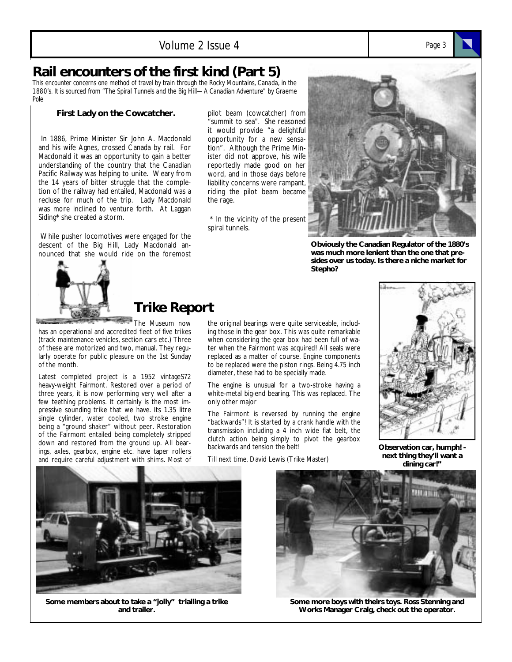### **Rail encounters of the first kind (Part 5)**

*This encounter concerns one method of travel by train through the Rocky Mountains, Canada, in the 1880's. It is sourced from "The Spiral Tunnels and the Big Hill—A Canadian Adventure" by Graeme Pole* 

#### **First Lady on the Cowcatcher.**

In 1886, Prime Minister Sir John A. Macdonald and his wife Agnes, crossed Canada by rail. For Macdonald it was an opportunity to gain a better understanding of the country that the Canadian Pacific Railway was helping to unite. Weary from the 14 years of bitter struggle that the completion of the railway had entailed, Macdonald was a recluse for much of the trip. Lady Macdonald was more inclined to venture forth. At Laggan Siding\* she created a storm.

 While pusher locomotives were engaged for the descent of the Big Hill, Lady Macdonald announced that she would ride on the foremost

### **Trike Report**

The Museum now has an operational and accredited fleet of five trikes (track maintenance vehicles, section cars etc.) Three of these are motorized and two, manual. They regularly operate for public pleasure on the 1st Sunday of the month.

Latest completed project is a 1952 vintageS72 heavy-weight Fairmont. Restored over a period of three years, it is now performing very well after a few teething problems. It certainly is the most impressive sounding trike that we have. Its 1.35 litre single cylinder, water cooled, two stroke engine being a "ground shaker" without peer. Restoration of the Fairmont entailed being completely stripped down and restored from the ground up. All bearings, axles, gearbox, engine etc. have taper rollers and require careful adjustment with shims. Most of

pilot beam (cowcatcher) from "summit to sea". She reasoned it would provide "a delightful opportunity for a new sensation". Although the Prime Minister did not approve, his wife reportedly made good on her word, and in those days before liability concerns were rampant, riding the pilot beam became the rage.

 \* In the vicinity of the present spiral tunnels.



**Obviously the Canadian Regulator of the 1880's was much more lenient than the one that presides over us today. Is there a niche market for Stepho?** 

the original bearings were quite serviceable, including those in the gear box. This was quite remarkable when considering the gear box had been full of water when the Fairmont was acquired! All seals were replaced as a matter of course. Engine components to be replaced were the piston rings. Being 4.75 inch diameter, these had to be specially made.

The engine is unusual for a two-stroke having a white-metal big-end bearing. This was replaced. The only other major

The Fairmont is reversed by running the engine "backwards"! It is started by a crank handle with the transmission including a 4 inch wide flat belt, the clutch action being simply to pivot the gearbox backwards and tension the belt!

Till next time, David Lewis (Trike Master)



**Observation car, humph! next thing they'll want a dining car!"** 



**Some members about to take a "jolly" trialling a trike and trailer.** 



**Some more boys with theirs toys. Ross Stenning and Works Manager Craig, check out the operator.** 

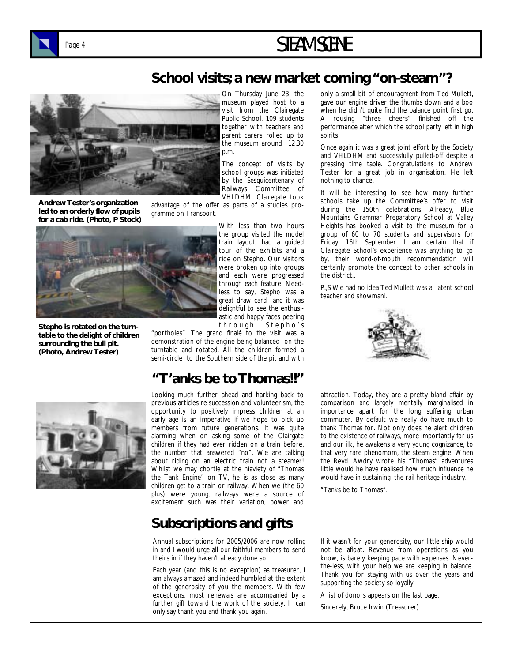

## Page 4 **STEAM SCENE**

### **School visits; a new market coming "on-steam"?**



**Andrew Tester's organization led to an orderly flow of pupils for a cab ride. (Photo, P Stock)** 

On Thursday June 23, the museum played host to a visit from the Clairegate Public School. 109 students together with teachers and parent carers rolled up to the museum around 12.30 p.m.

The concept of visits by school groups was initiated by the Sesquicentenary of Railways Committee of VHLDHM. Clairegate took

advantage of the offer as parts of a studies programme on Transport.



**Stepho is rotated on the turntable to the delight of children surrounding the bull pit. (Photo, Andrew Tester)** 

With less than two hours the group visited the model train layout, had a guided tour of the exhibits and a ride on Stepho. Our visitors were broken up into groups and each were progressed through each feature. Needless to say, Stepho was a great draw card and it was delightful to see the enthusiastic and happy faces peering through Stepho's

"portholes". The grand finalé to the visit was a demonstration of the engine being balanced on the turntable and rotated. All the children formed a semi-circle to the Southern side of the pit and with

### **"T'anks be to Thomas!!"**



Looking much further ahead and harking back to previous articles re succession and volunteerism, the opportunity to positively impress children at an early age is an imperative if we hope to pick up members from future generations. It was quite alarming when on asking some of the Clairgate children if they had ever ridden on a train before, the number that answered "no". We are talking about riding on an electric train not a steamer! Whilst we may chortle at the niaviety of "Thomas the Tank Engine" on TV, he is as close as many children get to a train or railway. When we (the 60 plus) were young, railways were a source of excitement such was their variation, power and

### **Subscriptions and gifts**

Annual subscriptions for 2005/2006 are now rolling in and I would urge all our faithful members to send theirs in if they haven't already done so.

Each year (and this is no exception) as treasurer, I am always amazed and indeed humbled at the extent of the generosity of you the members. With few exceptions, most renewals are accompanied by a further gift toward the work of the society. I can only say thank you and thank you again.

only a small bit of encouragment from Ted Mullett, gave our engine driver the thumbs down and a boo when he didn't quite find the balance point first go. A rousing "three cheers" finished off the performance after which the school party left in high spirits.

Once again it was a great joint effort by the Society and VHLDHM and successfully pulled-off despite a pressing time table. Congratulations to Andrew Tester for a great job in organisation. He left nothing to chance.

It will be interesting to see how many further schools take up the Committee's offer to visit during the 150th celebrations. Already, Blue Mountains Grammar Preparatory School at Valley Heights has booked a visit to the museum for a group of 60 to 70 students and supervisors for Friday, 16th September. I am certain that if Clairegate School's experience was anything to go by, their word-of-mouth recommendation will certainly promote the concept to other schools in the district..

P.,S We had no idea Ted Mullett was a latent school teacher and showman!.



attraction. Today, they are a pretty bland affair by comparison and largely mentally marginalised in importance apart for the long suffering urban commuter. By default we really do have much to thank Thomas for. Not only does he alert children to the existence of railways, more importantly for us and our ilk, he awakens a very young cognizance, to that very rare phenomom, the steam engine. When the Revd. Awdry wrote his "Thomas" adventures little would he have realised how much influence he would have in sustaining the rail heritage industry.

"Tanks be to Thomas".

If it wasn't for your generosity, our little ship would not be afloat. Revenue from operations as you know, is barely keeping pace with expenses. Neverthe-less, with your help we are keeping in balance. Thank you for staying with us over the years and supporting the society so loyally.

A list of donors appears on the last page.

Sincerely, Bruce Irwin (Treasurer)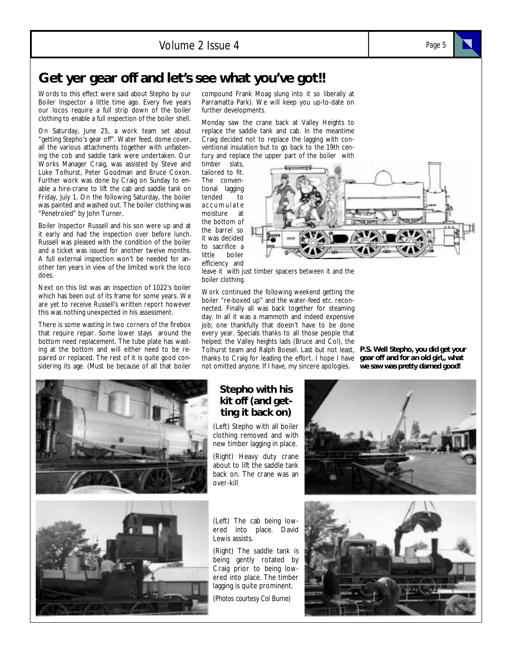### Volume 2 Issue 4 *Page 5*

### **Get yer gear off and let's see what you've got!!**

Words to this effect were said about Stepho by our Boiler Inspector a little time ago. Every five years our locos require a full strip down of the boiler clothing to enable a full inspection of the boiler shell.

On Saturday, June 25, a work team set about "getting Stepho's gear off". Water feed, dome cover, all the various attachments together with unfastening the cob and saddle tank were undertaken. Our Works Manager Craig, was assisted by Steve and Luke Tolhurst, Peter Goodman and Bruce Coxon. Further work was done by Craig on Sunday to enable a hire-crane to lift the cab and saddle tank on Friday, July 1. On the following Saturday, the boiler was painted and washed out. The boiler clothing was "Penetroled" by John Turner.

Boiler Inspector Russell and his son were up and at it early and had the inspection over before lunch. Russell was pleased with the condition of the boiler and a ticket was issued for another twelve months. A full external inspection won't be needed for another ten years in view of the limited work the loco does.

Next on this list was an inspection of 1022's boiler which has been out of its frame for some years. We are yet to receive Russell's written report however this was nothing unexpected in his assessment.

There is some wasting in two corners of the firebox that require repair. Some lower stays around the bottom need replacement. The tube plate has wasting at the bottom and will either need to be repaired or replaced. The rest of it is quite good considering its age. (Must be because of all that boiler compound Frank Moag slung into it so liberally at Parramatta Park). We will keep you up-to-date on further developments.

Monday saw the crane back at Valley Heights to replace the saddle tank and cab. In the meantime Craig decided not to replace the lagging with conventional insulation but to go back to the 19th century and replace the upper part of the boiler with

timber slats, tailored to fit. The conventional lagging tended to accumulate moisture at the bottom of the barrel so it was decided to sacrifice a little boiler efficiency and



leave it with just timber spacers between it and the boiler clothing.

Work continued the following weekend getting the boiler "re-boxed up" and the water-feed etc. reconnected. Finally all was back together for steaming day. In all it was a mammoth and indeed expensive job; one thankfully that doesn't have to be done every year. Specials thanks to all those people that helped; the Valley heights lads (Bruce and Col), the Tolhurst team and Ralph Boesel. Last but not least, *P.S. Well Stepho, you did get your*  thanks to Craig for leading the effort. I hope I have not omitted anyone. If I have, my sincere apologies.

*gear off and for an old girl,, what we saw was pretty darned good!* 





#### **Stepho with his kit off (and getting it back on)**

(Left) Stepho with all boiler clothing removed and with new timber lagging in place.

(Right) Heavy duty crane about to lift the saddle tank back on. The crane was an over-kill

(Left) The cab being lowered into place. David Lewis assists.

(Right) The saddle tank is being gently rotated by Craig prior to being lowered into place. The timber lagging is quite prominent.

*(Photos courtesy Col Burne)*